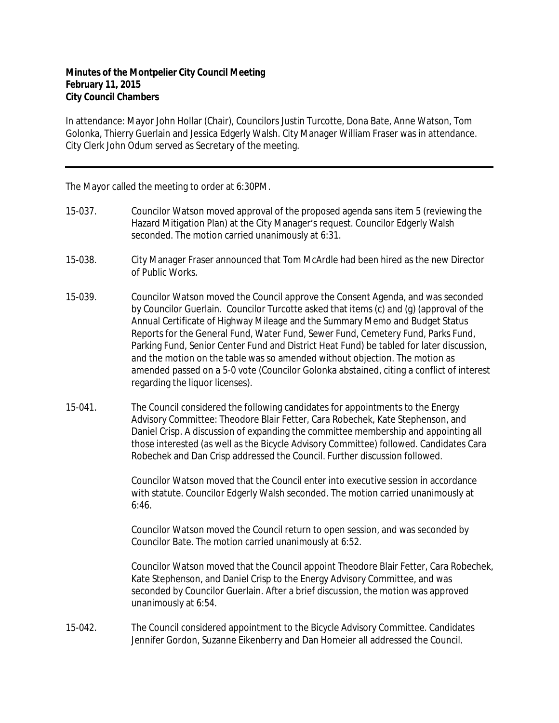## **Minutes of the Montpelier City Council Meeting February 11, 2015 City Council Chambers**

In attendance: Mayor John Hollar (Chair), Councilors Justin Turcotte, Dona Bate, Anne Watson, Tom Golonka, Thierry Guerlain and Jessica Edgerly Walsh. City Manager William Fraser was in attendance. City Clerk John Odum served as Secretary of the meeting.

The Mayor called the meeting to order at 6:30PM.

- 15-037. Councilor Watson moved approval of the proposed agenda sans item 5 (reviewing the Hazard Mitigation Plan) at the City Manager's request. Councilor Edgerly Walsh seconded. The motion carried unanimously at 6:31.
- 15-038. City Manager Fraser announced that Tom McArdle had been hired as the new Director of Public Works.
- 15-039. Councilor Watson moved the Council approve the Consent Agenda, and was seconded by Councilor Guerlain. Councilor Turcotte asked that items (c) and (g) (approval of the Annual Certificate of Highway Mileage and the Summary Memo and Budget Status Reports for the General Fund, Water Fund, Sewer Fund, Cemetery Fund, Parks Fund, Parking Fund, Senior Center Fund and District Heat Fund) be tabled for later discussion, and the motion on the table was so amended without objection. The motion as amended passed on a 5-0 vote (Councilor Golonka abstained, citing a conflict of interest regarding the liquor licenses).
- 15-041. The Council considered the following candidates for appointments to the Energy Advisory Committee: Theodore Blair Fetter, Cara Robechek, Kate Stephenson, and Daniel Crisp. A discussion of expanding the committee membership and appointing all those interested (as well as the Bicycle Advisory Committee) followed. Candidates Cara Robechek and Dan Crisp addressed the Council. Further discussion followed.

Councilor Watson moved that the Council enter into executive session in accordance with statute. Councilor Edgerly Walsh seconded. The motion carried unanimously at 6:46.

Councilor Watson moved the Council return to open session, and was seconded by Councilor Bate. The motion carried unanimously at 6:52.

Councilor Watson moved that the Council appoint Theodore Blair Fetter, Cara Robechek, Kate Stephenson, and Daniel Crisp to the Energy Advisory Committee, and was seconded by Councilor Guerlain. After a brief discussion, the motion was approved unanimously at 6:54.

15-042. The Council considered appointment to the Bicycle Advisory Committee. Candidates Jennifer Gordon, Suzanne Eikenberry and Dan Homeier all addressed the Council.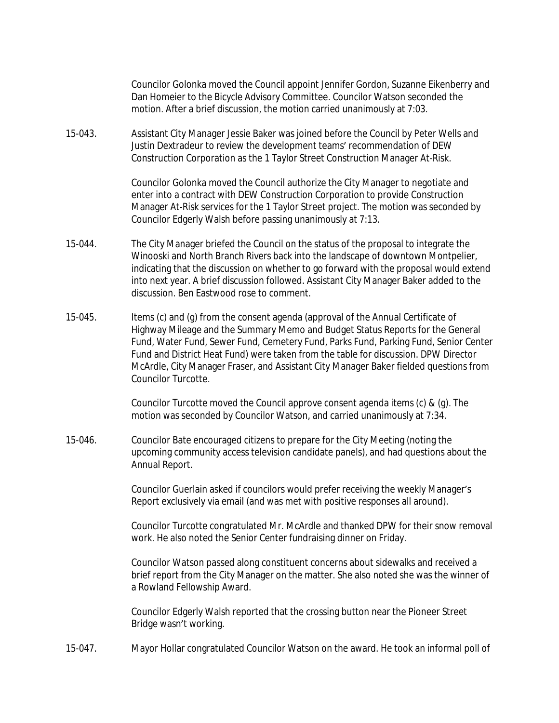Councilor Golonka moved the Council appoint Jennifer Gordon, Suzanne Eikenberry and Dan Homeier to the Bicycle Advisory Committee. Councilor Watson seconded the motion. After a brief discussion, the motion carried unanimously at 7:03.

15-043. Assistant City Manager Jessie Baker was joined before the Council by Peter Wells and Justin Dextradeur to review the development teams' recommendation of DEW Construction Corporation as the 1 Taylor Street Construction Manager At-Risk.

> Councilor Golonka moved the Council authorize the City Manager to negotiate and enter into a contract with DEW Construction Corporation to provide Construction Manager At-Risk services for the 1 Taylor Street project. The motion was seconded by Councilor Edgerly Walsh before passing unanimously at 7:13.

- 15-044. The City Manager briefed the Council on the status of the proposal to integrate the Winooski and North Branch Rivers back into the landscape of downtown Montpelier, indicating that the discussion on whether to go forward with the proposal would extend into next year. A brief discussion followed. Assistant City Manager Baker added to the discussion. Ben Eastwood rose to comment.
- 15-045. Items (c) and (g) from the consent agenda (approval of the Annual Certificate of Highway Mileage and the Summary Memo and Budget Status Reports for the General Fund, Water Fund, Sewer Fund, Cemetery Fund, Parks Fund, Parking Fund, Senior Center Fund and District Heat Fund) were taken from the table for discussion. DPW Director McArdle, City Manager Fraser, and Assistant City Manager Baker fielded questions from Councilor Turcotte.

Councilor Turcotte moved the Council approve consent agenda items (c) & (g). The motion was seconded by Councilor Watson, and carried unanimously at 7:34.

15-046. Councilor Bate encouraged citizens to prepare for the City Meeting (noting the upcoming community access television candidate panels), and had questions about the Annual Report.

> Councilor Guerlain asked if councilors would prefer receiving the weekly Manager's Report exclusively via email (and was met with positive responses all around).

Councilor Turcotte congratulated Mr. McArdle and thanked DPW for their snow removal work. He also noted the Senior Center fundraising dinner on Friday.

Councilor Watson passed along constituent concerns about sidewalks and received a brief report from the City Manager on the matter. She also noted she was the winner of a Rowland Fellowship Award.

Councilor Edgerly Walsh reported that the crossing button near the Pioneer Street Bridge wasn't working.

15-047. Mayor Hollar congratulated Councilor Watson on the award. He took an informal poll of